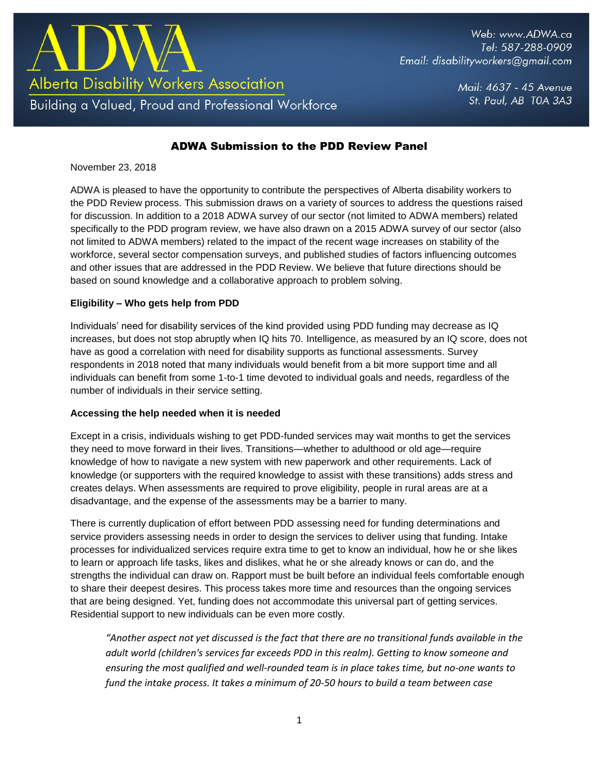

Web: www.ADWA.ca Tel: 587-288-0909 Email: disabilityworkers@gmail.com

> Mail: 4637 - 45 Avenue St. Paul, AB TOA 3A3

# ADWA Submission to the PDD Review Panel

November 23, 2018

ADWA is pleased to have the opportunity to contribute the perspectives of Alberta disability workers to the PDD Review process. This submission draws on a variety of sources to address the questions raised for discussion. In addition to a 2018 ADWA survey of our sector (not limited to ADWA members) related specifically to the PDD program review, we have also drawn on a 2015 ADWA survey of our sector (also not limited to ADWA members) related to the impact of the recent wage increases on stability of the workforce, several sector compensation surveys, and published studies of factors influencing outcomes and other issues that are addressed in the PDD Review. We believe that future directions should be based on sound knowledge and a collaborative approach to problem solving.

## **Eligibility – Who gets help from PDD**

Individuals' need for disability services of the kind provided using PDD funding may decrease as IQ increases, but does not stop abruptly when IQ hits 70. Intelligence, as measured by an IQ score, does not have as good a correlation with need for disability supports as functional assessments. Survey respondents in 2018 noted that many individuals would benefit from a bit more support time and all individuals can benefit from some 1-to-1 time devoted to individual goals and needs, regardless of the number of individuals in their service setting.

#### **Accessing the help needed when it is needed**

Except in a crisis, individuals wishing to get PDD-funded services may wait months to get the services they need to move forward in their lives. Transitions—whether to adulthood or old age—require knowledge of how to navigate a new system with new paperwork and other requirements. Lack of knowledge (or supporters with the required knowledge to assist with these transitions) adds stress and creates delays. When assessments are required to prove eligibility, people in rural areas are at a disadvantage, and the expense of the assessments may be a barrier to many.

There is currently duplication of effort between PDD assessing need for funding determinations and service providers assessing needs in order to design the services to deliver using that funding. Intake processes for individualized services require extra time to get to know an individual, how he or she likes to learn or approach life tasks, likes and dislikes, what he or she already knows or can do, and the strengths the individual can draw on. Rapport must be built before an individual feels comfortable enough to share their deepest desires. This process takes more time and resources than the ongoing services that are being designed. Yet, funding does not accommodate this universal part of getting services. Residential support to new individuals can be even more costly.

*"Another aspect not yet discussed is the fact that there are no transitional funds available in the adult world (children's services far exceeds PDD in this realm). Getting to know someone and ensuring the most qualified and well-rounded team is in place takes time, but no-one wants to fund the intake process. It takes a minimum of 20-50 hours to build a team between case*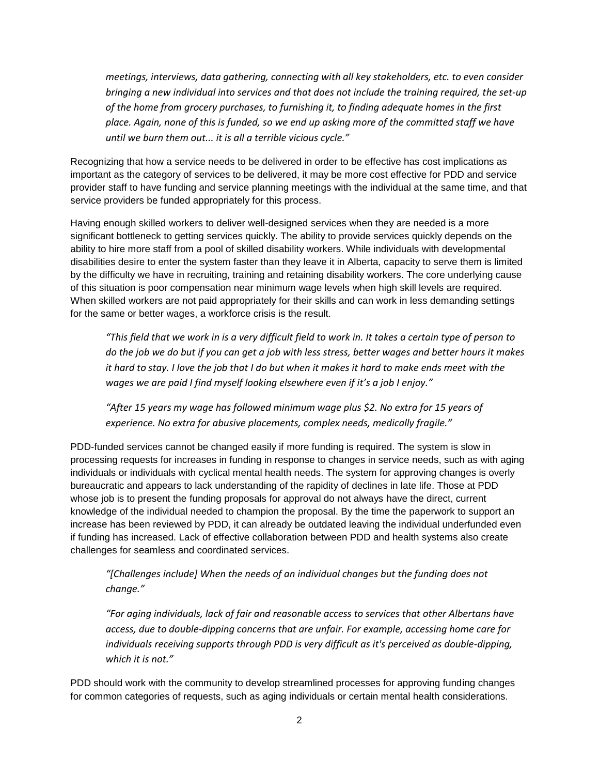*meetings, interviews, data gathering, connecting with all key stakeholders, etc. to even consider bringing a new individual into services and that does not include the training required, the set-up of the home from grocery purchases, to furnishing it, to finding adequate homes in the first place. Again, none of this is funded, so we end up asking more of the committed staff we have until we burn them out... it is all a terrible vicious cycle."*

Recognizing that how a service needs to be delivered in order to be effective has cost implications as important as the category of services to be delivered, it may be more cost effective for PDD and service provider staff to have funding and service planning meetings with the individual at the same time, and that service providers be funded appropriately for this process.

Having enough skilled workers to deliver well-designed services when they are needed is a more significant bottleneck to getting services quickly. The ability to provide services quickly depends on the ability to hire more staff from a pool of skilled disability workers. While individuals with developmental disabilities desire to enter the system faster than they leave it in Alberta, capacity to serve them is limited by the difficulty we have in recruiting, training and retaining disability workers. The core underlying cause of this situation is poor compensation near minimum wage levels when high skill levels are required. When skilled workers are not paid appropriately for their skills and can work in less demanding settings for the same or better wages, a workforce crisis is the result.

*"This field that we work in is a very difficult field to work in. It takes a certain type of person to do the job we do but if you can get a job with less stress, better wages and better hours it makes it hard to stay. I love the job that I do but when it makes it hard to make ends meet with the wages we are paid I find myself looking elsewhere even if it's a job I enjoy."* 

*"After 15 years my wage has followed minimum wage plus \$2. No extra for 15 years of experience. No extra for abusive placements, complex needs, medically fragile."* 

PDD-funded services cannot be changed easily if more funding is required. The system is slow in processing requests for increases in funding in response to changes in service needs, such as with aging individuals or individuals with cyclical mental health needs. The system for approving changes is overly bureaucratic and appears to lack understanding of the rapidity of declines in late life. Those at PDD whose job is to present the funding proposals for approval do not always have the direct, current knowledge of the individual needed to champion the proposal. By the time the paperwork to support an increase has been reviewed by PDD, it can already be outdated leaving the individual underfunded even if funding has increased. Lack of effective collaboration between PDD and health systems also create challenges for seamless and coordinated services.

*"[Challenges include] When the needs of an individual changes but the funding does not change."*

*"For aging individuals, lack of fair and reasonable access to services that other Albertans have access, due to double-dipping concerns that are unfair. For example, accessing home care for individuals receiving supports through PDD is very difficult as it's perceived as double-dipping, which it is not."*

PDD should work with the community to develop streamlined processes for approving funding changes for common categories of requests, such as aging individuals or certain mental health considerations.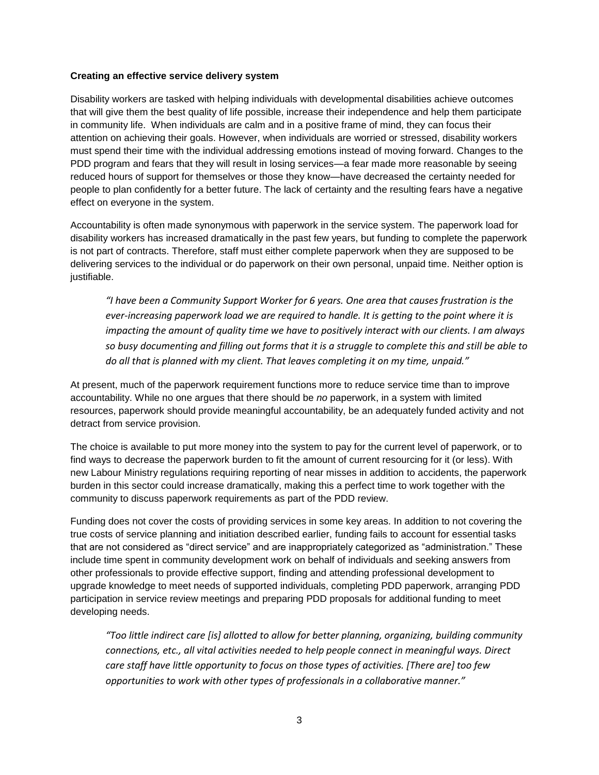### **Creating an effective service delivery system**

Disability workers are tasked with helping individuals with developmental disabilities achieve outcomes that will give them the best quality of life possible, increase their independence and help them participate in community life. When individuals are calm and in a positive frame of mind, they can focus their attention on achieving their goals. However, when individuals are worried or stressed, disability workers must spend their time with the individual addressing emotions instead of moving forward. Changes to the PDD program and fears that they will result in losing services—a fear made more reasonable by seeing reduced hours of support for themselves or those they know—have decreased the certainty needed for people to plan confidently for a better future. The lack of certainty and the resulting fears have a negative effect on everyone in the system.

Accountability is often made synonymous with paperwork in the service system. The paperwork load for disability workers has increased dramatically in the past few years, but funding to complete the paperwork is not part of contracts. Therefore, staff must either complete paperwork when they are supposed to be delivering services to the individual or do paperwork on their own personal, unpaid time. Neither option is justifiable.

*"I have been a Community Support Worker for 6 years. One area that causes frustration is the ever-increasing paperwork load we are required to handle. It is getting to the point where it is impacting the amount of quality time we have to positively interact with our clients. I am always so busy documenting and filling out forms that it is a struggle to complete this and still be able to do all that is planned with my client. That leaves completing it on my time, unpaid."*

At present, much of the paperwork requirement functions more to reduce service time than to improve accountability. While no one argues that there should be *no* paperwork, in a system with limited resources, paperwork should provide meaningful accountability, be an adequately funded activity and not detract from service provision.

The choice is available to put more money into the system to pay for the current level of paperwork, or to find ways to decrease the paperwork burden to fit the amount of current resourcing for it (or less). With new Labour Ministry regulations requiring reporting of near misses in addition to accidents, the paperwork burden in this sector could increase dramatically, making this a perfect time to work together with the community to discuss paperwork requirements as part of the PDD review.

Funding does not cover the costs of providing services in some key areas. In addition to not covering the true costs of service planning and initiation described earlier, funding fails to account for essential tasks that are not considered as "direct service" and are inappropriately categorized as "administration." These include time spent in community development work on behalf of individuals and seeking answers from other professionals to provide effective support, finding and attending professional development to upgrade knowledge to meet needs of supported individuals, completing PDD paperwork, arranging PDD participation in service review meetings and preparing PDD proposals for additional funding to meet developing needs.

*"Too little indirect care [is] allotted to allow for better planning, organizing, building community connections, etc., all vital activities needed to help people connect in meaningful ways. Direct care staff have little opportunity to focus on those types of activities. [There are] too few opportunities to work with other types of professionals in a collaborative manner."*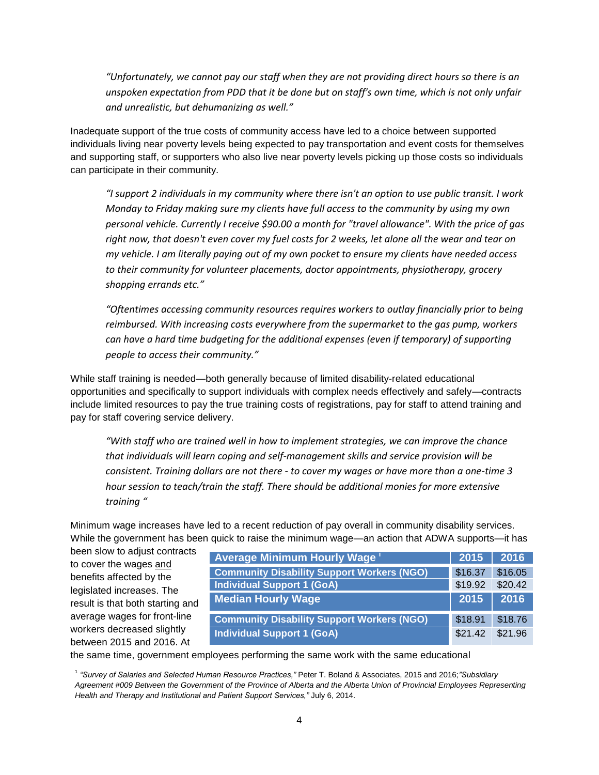*"Unfortunately, we cannot pay our staff when they are not providing direct hours so there is an unspoken expectation from PDD that it be done but on staff's own time, which is not only unfair and unrealistic, but dehumanizing as well."*

Inadequate support of the true costs of community access have led to a choice between supported individuals living near poverty levels being expected to pay transportation and event costs for themselves and supporting staff, or supporters who also live near poverty levels picking up those costs so individuals can participate in their community.

*"I support 2 individuals in my community where there isn't an option to use public transit. I work Monday to Friday making sure my clients have full access to the community by using my own personal vehicle. Currently I receive \$90.00 a month for "travel allowance". With the price of gas right now, that doesn't even cover my fuel costs for 2 weeks, let alone all the wear and tear on my vehicle. I am literally paying out of my own pocket to ensure my clients have needed access to their community for volunteer placements, doctor appointments, physiotherapy, grocery shopping errands etc."*

*"Oftentimes accessing community resources requires workers to outlay financially prior to being reimbursed. With increasing costs everywhere from the supermarket to the gas pump, workers can have a hard time budgeting for the additional expenses (even if temporary) of supporting people to access their community."*

While staff training is needed—both generally because of limited disability-related educational opportunities and specifically to support individuals with complex needs effectively and safely—contracts include limited resources to pay the true training costs of registrations, pay for staff to attend training and pay for staff covering service delivery.

*"With staff who are trained well in how to implement strategies, we can improve the chance that individuals will learn coping and self-management skills and service provision will be consistent. Training dollars are not there - to cover my wages or have more than a one-time 3 hour session to teach/train the staff. There should be additional monies for more extensive training "*

Minimum wage increases have led to a recent reduction of pay overall in community disability services. While the government has been quick to raise the minimum wage—an action that ADWA supports—it has

been slow to adjust contracts to cover the wages and benefits affected by the legislated increases. The result is that both starting and average wages for front-line workers decreased slightly between 2015 and 2016. At

| Average Minimum Hourly Wage <sup>®</sup>          | 2015    | 2016    |
|---------------------------------------------------|---------|---------|
| <b>Community Disability Support Workers (NGO)</b> | \$16.37 | \$16.05 |
| <b>Individual Support 1 (GoA)</b>                 | \$19.92 | \$20.42 |
| <b>Median Hourly Wage</b>                         | 2015    | 2016    |
| <b>Community Disability Support Workers (NGO)</b> | \$18.91 | \$18.76 |
| <b>Individual Support 1 (GoA)</b>                 | \$21.42 | \$21.96 |

the same time, government employees performing the same work with the same educational

1 *"Survey of Salaries and Selected Human Resource Practices,"* Peter T. Boland & Associates, 2015 and 2016;*"Subsidiary Agreement #009 Between the Government of the Province of Alberta and the Alberta Union of Provincial Employees Representing Health and Therapy and Institutional and Patient Support Services,"* July 6, 2014.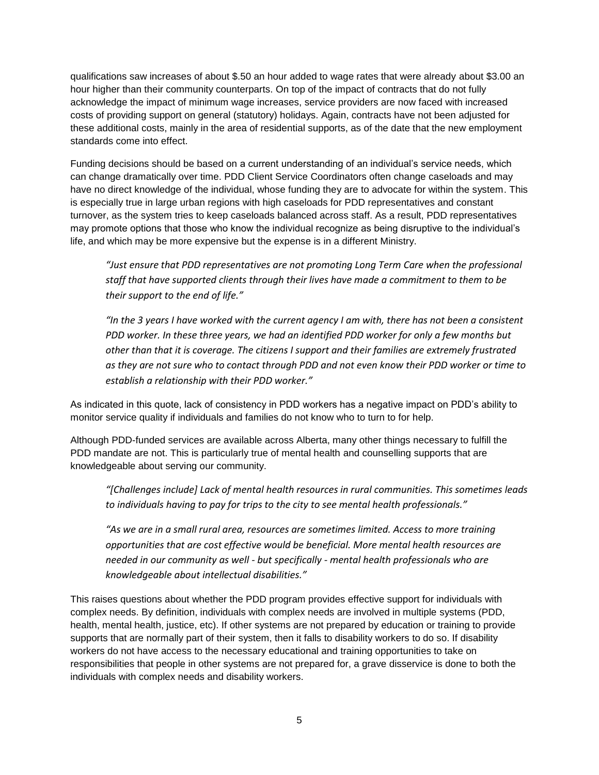qualifications saw increases of about \$.50 an hour added to wage rates that were already about \$3.00 an hour higher than their community counterparts. On top of the impact of contracts that do not fully acknowledge the impact of minimum wage increases, service providers are now faced with increased costs of providing support on general (statutory) holidays. Again, contracts have not been adjusted for these additional costs, mainly in the area of residential supports, as of the date that the new employment standards come into effect.

Funding decisions should be based on a current understanding of an individual's service needs, which can change dramatically over time. PDD Client Service Coordinators often change caseloads and may have no direct knowledge of the individual, whose funding they are to advocate for within the system. This is especially true in large urban regions with high caseloads for PDD representatives and constant turnover, as the system tries to keep caseloads balanced across staff. As a result, PDD representatives may promote options that those who know the individual recognize as being disruptive to the individual's life, and which may be more expensive but the expense is in a different Ministry.

*"Just ensure that PDD representatives are not promoting Long Term Care when the professional staff that have supported clients through their lives have made a commitment to them to be their support to the end of life."* 

*"In the 3 years I have worked with the current agency I am with, there has not been a consistent PDD worker. In these three years, we had an identified PDD worker for only a few months but other than that it is coverage. The citizens I support and their families are extremely frustrated as they are not sure who to contact through PDD and not even know their PDD worker or time to establish a relationship with their PDD worker."*

As indicated in this quote, lack of consistency in PDD workers has a negative impact on PDD's ability to monitor service quality if individuals and families do not know who to turn to for help.

Although PDD-funded services are available across Alberta, many other things necessary to fulfill the PDD mandate are not. This is particularly true of mental health and counselling supports that are knowledgeable about serving our community.

*"[Challenges include] Lack of mental health resources in rural communities. This sometimes leads to individuals having to pay for trips to the city to see mental health professionals."* 

*"As we are in a small rural area, resources are sometimes limited. Access to more training opportunities that are cost effective would be beneficial. More mental health resources are needed in our community as well - but specifically - mental health professionals who are knowledgeable about intellectual disabilities."*

This raises questions about whether the PDD program provides effective support for individuals with complex needs. By definition, individuals with complex needs are involved in multiple systems (PDD, health, mental health, justice, etc). If other systems are not prepared by education or training to provide supports that are normally part of their system, then it falls to disability workers to do so. If disability workers do not have access to the necessary educational and training opportunities to take on responsibilities that people in other systems are not prepared for, a grave disservice is done to both the individuals with complex needs and disability workers.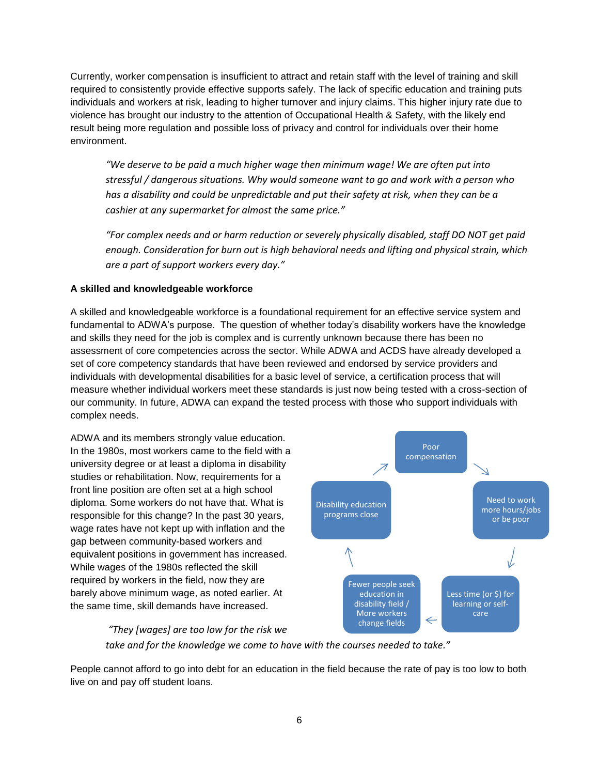Currently, worker compensation is insufficient to attract and retain staff with the level of training and skill required to consistently provide effective supports safely. The lack of specific education and training puts individuals and workers at risk, leading to higher turnover and injury claims. This higher injury rate due to violence has brought our industry to the attention of Occupational Health & Safety, with the likely end result being more regulation and possible loss of privacy and control for individuals over their home environment.

*"We deserve to be paid a much higher wage then minimum wage! We are often put into stressful / dangerous situations. Why would someone want to go and work with a person who has a disability and could be unpredictable and put their safety at risk, when they can be a cashier at any supermarket for almost the same price."*

*"For complex needs and or harm reduction or severely physically disabled, staff DO NOT get paid enough. Consideration for burn out is high behavioral needs and lifting and physical strain, which are a part of support workers every day."*

## **A skilled and knowledgeable workforce**

A skilled and knowledgeable workforce is a foundational requirement for an effective service system and fundamental to ADWA's purpose. The question of whether today's disability workers have the knowledge and skills they need for the job is complex and is currently unknown because there has been no assessment of core competencies across the sector. While ADWA and ACDS have already developed a set of core competency standards that have been reviewed and endorsed by service providers and individuals with developmental disabilities for a basic level of service, a certification process that will measure whether individual workers meet these standards is just now being tested with a cross-section of our community. In future, ADWA can expand the tested process with those who support individuals with complex needs.

ADWA and its members strongly value education. In the 1980s, most workers came to the field with a university degree or at least a diploma in disability studies or rehabilitation. Now, requirements for a front line position are often set at a high school diploma. Some workers do not have that. What is responsible for this change? In the past 30 years, wage rates have not kept up with inflation and the gap between community-based workers and equivalent positions in government has increased. While wages of the 1980s reflected the skill required by workers in the field, now they are barely above minimum wage, as noted earlier. At the same time, skill demands have increased.



*"They [wages] are too low for the risk we take and for the knowledge we come to have with the courses needed to take."*

People cannot afford to go into debt for an education in the field because the rate of pay is too low to both live on and pay off student loans.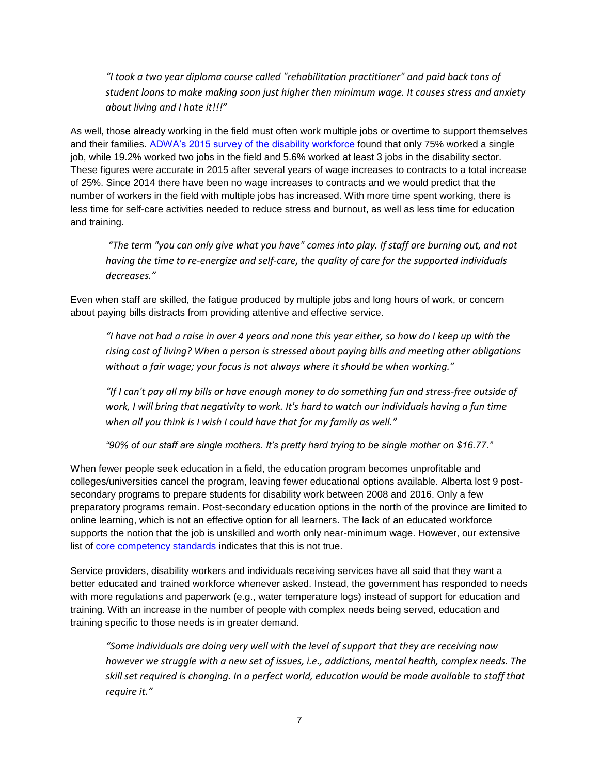*"I took a two year diploma course called "rehabilitation practitioner" and paid back tons of student loans to make making soon just higher then minimum wage. It causes stress and anxiety about living and I hate it!!!"*

As well, those already working in the field must often work multiple jobs or overtime to support themselves and their families. [ADWA's 2015 survey of the disability workforce](https://www.adwa.ca/files/ADWA%20CompensationandCommitment%20Report-Sep15.pdf) found that only 75% worked a single job, while 19.2% worked two jobs in the field and 5.6% worked at least 3 jobs in the disability sector. These figures were accurate in 2015 after several years of wage increases to contracts to a total increase of 25%. Since 2014 there have been no wage increases to contracts and we would predict that the number of workers in the field with multiple jobs has increased. With more time spent working, there is less time for self-care activities needed to reduce stress and burnout, as well as less time for education and training.

*"The term "you can only give what you have" comes into play. If staff are burning out, and not having the time to re-energize and self-care, the quality of care for the supported individuals decreases."*

Even when staff are skilled, the fatigue produced by multiple jobs and long hours of work, or concern about paying bills distracts from providing attentive and effective service.

*"I have not had a raise in over 4 years and none this year either, so how do I keep up with the rising cost of living? When a person is stressed about paying bills and meeting other obligations without a fair wage; your focus is not always where it should be when working."*

*"If I can't pay all my bills or have enough money to do something fun and stress-free outside of work, I will bring that negativity to work. It's hard to watch our individuals having a fun time when all you think is I wish I could have that for my family as well."*

*"90% of our staff are single mothers. It's pretty hard trying to be single mother on \$16.77."*

When fewer people seek education in a field, the education program becomes unprofitable and colleges/universities cancel the program, leaving fewer educational options available. Alberta lost 9 postsecondary programs to prepare students for disability work between 2008 and 2016. Only a few preparatory programs remain. Post-secondary education options in the north of the province are limited to online learning, which is not an effective option for all learners. The lack of an educated workforce supports the notion that the job is unskilled and worth only near-minimum wage. However, our extensive list of [core competency standards](https://www.adwa.ca/certification/standards.html) indicates that this is not true.

Service providers, disability workers and individuals receiving services have all said that they want a better educated and trained workforce whenever asked. Instead, the government has responded to needs with more regulations and paperwork (e.g., water temperature logs) instead of support for education and training. With an increase in the number of people with complex needs being served, education and training specific to those needs is in greater demand.

*"Some individuals are doing very well with the level of support that they are receiving now however we struggle with a new set of issues, i.e., addictions, mental health, complex needs. The skill set required is changing. In a perfect world, education would be made available to staff that require it."*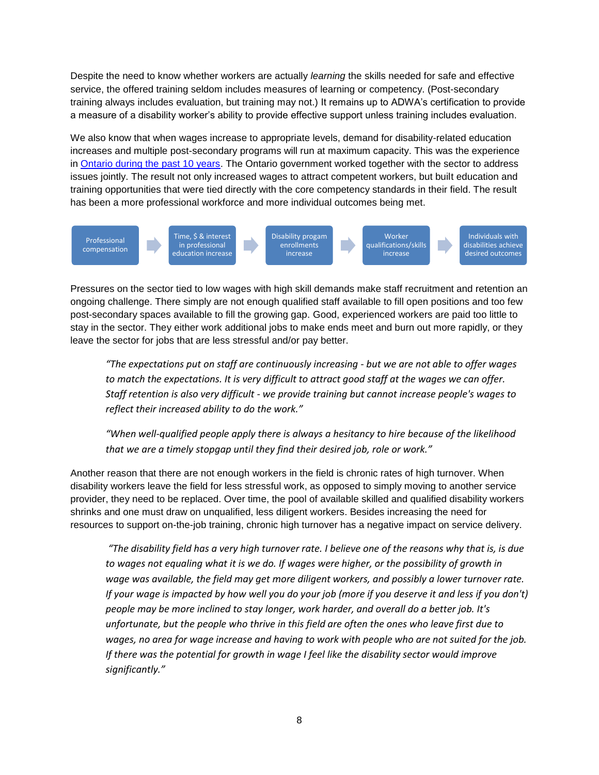Despite the need to know whether workers are actually *learning* the skills needed for safe and effective service, the offered training seldom includes measures of learning or competency. (Post-secondary training always includes evaluation, but training may not.) It remains up to ADWA's certification to provide a measure of a disability worker's ability to provide effective support unless training includes evaluation.

We also know that when wages increase to appropriate levels, demand for disability-related education increases and multiple post-secondary programs will run at maximum capacity. This was the experience in [Ontario during the past 10 years.](https://www.adwa.ca/news-and-events/ebulletins.html?id=468) The Ontario government worked together with the sector to address issues jointly. The result not only increased wages to attract competent workers, but built education and training opportunities that were tied directly with the core competency standards in their field. The result has been a more professional workforce and more individual outcomes being met.



Pressures on the sector tied to low wages with high skill demands make staff recruitment and retention an ongoing challenge. There simply are not enough qualified staff available to fill open positions and too few post-secondary spaces available to fill the growing gap. Good, experienced workers are paid too little to stay in the sector. They either work additional jobs to make ends meet and burn out more rapidly, or they leave the sector for jobs that are less stressful and/or pay better.

*"The expectations put on staff are continuously increasing - but we are not able to offer wages to match the expectations. It is very difficult to attract good staff at the wages we can offer. Staff retention is also very difficult - we provide training but cannot increase people's wages to reflect their increased ability to do the work."*

*"When well-qualified people apply there is always a hesitancy to hire because of the likelihood that we are a timely stopgap until they find their desired job, role or work."*

Another reason that there are not enough workers in the field is chronic rates of high turnover. When disability workers leave the field for less stressful work, as opposed to simply moving to another service provider, they need to be replaced. Over time, the pool of available skilled and qualified disability workers shrinks and one must draw on unqualified, less diligent workers. Besides increasing the need for resources to support on-the-job training, chronic high turnover has a negative impact on service delivery.

*"The disability field has a very high turnover rate. I believe one of the reasons why that is, is due* to wages not equaling what it is we do. If wages were higher, or the possibility of growth in *wage was available, the field may get more diligent workers, and possibly a lower turnover rate. If your wage is impacted by how well you do your job (more if you deserve it and less if you don't) people may be more inclined to stay longer, work harder, and overall do a better job. It's unfortunate, but the people who thrive in this field are often the ones who leave first due to wages, no area for wage increase and having to work with people who are not suited for the job. If there was the potential for growth in wage I feel like the disability sector would improve significantly."*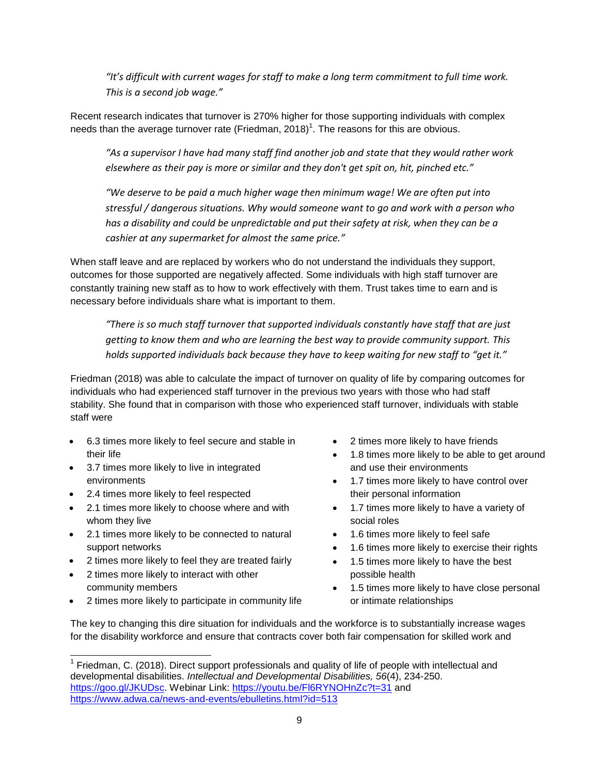"It's difficult with current wages for staff to make a long term commitment to full time work. *This is a second job wage."*

Recent research indicates that turnover is 270% higher for those supporting individuals with complex needs than the average turnover rate (Friedman, 2018)<sup>1</sup>. The reasons for this are obvious.

*"As a supervisor I have had many staff find another job and state that they would rather work elsewhere as their pay is more or similar and they don't get spit on, hit, pinched etc."* 

*"We deserve to be paid a much higher wage then minimum wage! We are often put into stressful / dangerous situations. Why would someone want to go and work with a person who has a disability and could be unpredictable and put their safety at risk, when they can be a cashier at any supermarket for almost the same price."*

When staff leave and are replaced by workers who do not understand the individuals they support, outcomes for those supported are negatively affected. Some individuals with high staff turnover are constantly training new staff as to how to work effectively with them. Trust takes time to earn and is necessary before individuals share what is important to them.

*"There is so much staff turnover that supported individuals constantly have staff that are just getting to know them and who are learning the best way to provide community support. This holds supported individuals back because they have to keep waiting for new staff to "get it."*

Friedman (2018) was able to calculate the impact of turnover on quality of life by comparing outcomes for individuals who had experienced staff turnover in the previous two years with those who had staff stability. She found that in comparison with those who experienced staff turnover, individuals with stable staff were

- 6.3 times more likely to feel secure and stable in their life
- 3.7 times more likely to live in integrated environments
- 2.4 times more likely to feel respected
- 2.1 times more likely to choose where and with whom they live
- 2.1 times more likely to be connected to natural support networks
- 2 times more likely to feel they are treated fairly
- 2 times more likely to interact with other community members
- 2 times more likely to participate in community life
- 2 times more likely to have friends
- 1.8 times more likely to be able to get around and use their environments
- 1.7 times more likely to have control over their personal information
- 1.7 times more likely to have a variety of social roles
- 1.6 times more likely to feel safe
- 1.6 times more likely to exercise their rights
- 1.5 times more likely to have the best possible health
- 1.5 times more likely to have close personal or intimate relationships

The key to changing this dire situation for individuals and the workforce is to substantially increase wages for the disability workforce and ensure that contracts cover both fair compensation for skilled work and

l <sup>1</sup> Friedman, C. (2018). Direct support professionals and quality of life of people with intellectual and developmental disabilities. *Intellectual and Developmental Disabilities, 56*(4), 234-250. [https://goo.gl/JKUDsc.](https://goo.gl/JKUDsc) Webinar Link:<https://youtu.be/Fl6RYNOHnZc?t=31> and <https://www.adwa.ca/news-and-events/ebulletins.html?id=513>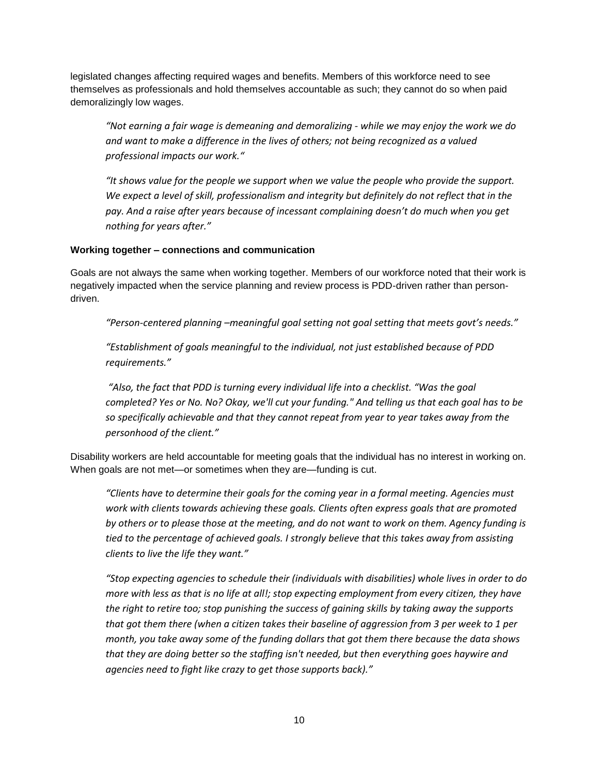legislated changes affecting required wages and benefits. Members of this workforce need to see themselves as professionals and hold themselves accountable as such; they cannot do so when paid demoralizingly low wages.

*"Not earning a fair wage is demeaning and demoralizing - while we may enjoy the work we do and want to make a difference in the lives of others; not being recognized as a valued professional impacts our work."*

"It shows value for the people we support when we value the people who provide the support. *We expect a level of skill, professionalism and integrity but definitely do not reflect that in the pay. And a raise after years because of incessant complaining doesn't do much when you get nothing for years after."*

## **Working together – connections and communication**

Goals are not always the same when working together. Members of our workforce noted that their work is negatively impacted when the service planning and review process is PDD-driven rather than persondriven.

*"Person-centered planning –meaningful goal setting not goal setting that meets govt's needs."*

*"Establishment of goals meaningful to the individual, not just established because of PDD requirements."*

*"Also, the fact that PDD is turning every individual life into a checklist. "Was the goal completed? Yes or No. No? Okay, we'll cut your funding." And telling us that each goal has to be so specifically achievable and that they cannot repeat from year to year takes away from the personhood of the client."*

Disability workers are held accountable for meeting goals that the individual has no interest in working on. When goals are not met—or sometimes when they are—funding is cut.

*"Clients have to determine their goals for the coming year in a formal meeting. Agencies must work with clients towards achieving these goals. Clients often express goals that are promoted by others or to please those at the meeting, and do not want to work on them. Agency funding is tied to the percentage of achieved goals. I strongly believe that this takes away from assisting clients to live the life they want."*

*"Stop expecting agencies to schedule their (individuals with disabilities) whole lives in order to do more with less as that is no life at all!; stop expecting employment from every citizen, they have the right to retire too; stop punishing the success of gaining skills by taking away the supports that got them there (when a citizen takes their baseline of aggression from 3 per week to 1 per month, you take away some of the funding dollars that got them there because the data shows that they are doing better so the staffing isn't needed, but then everything goes haywire and agencies need to fight like crazy to get those supports back)."*